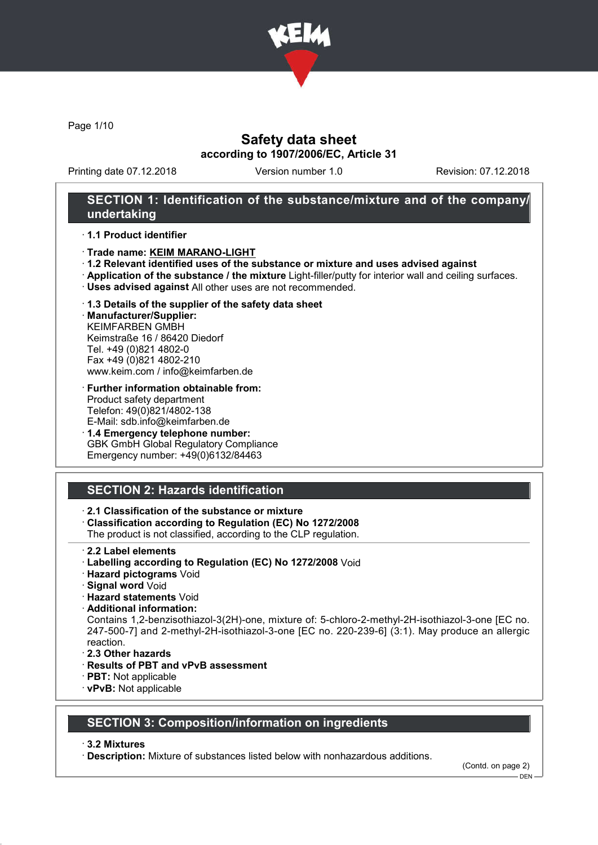

Page 1/10

## Safety data sheet according to 1907/2006/EC, Article 31

Printing date 07.12.2018 Version number 1.0 Revision: 07.12.2018

## SECTION 1: Identification of the substance/mixture and of the company/ undertaking

#### · 1.1 Product identifier

- · Trade name: KEIM MARANO-LIGHT
- · 1.2 Relevant identified uses of the substance or mixture and uses advised against
- · Application of the substance / the mixture Light-filler/putty for interior wall and ceiling surfaces.
- · Uses advised against All other uses are not recommended.

#### · 1.3 Details of the supplier of the safety data sheet

· Manufacturer/Supplier: KEIMFARBEN GMBH Keimstraße 16 / 86420 Diedorf Tel. +49 (0)821 4802-0 Fax +49 (0)821 4802-210 www.keim.com / info@keimfarben.de

- · Further information obtainable from: Product safety department Telefon: 49(0)821/4802-138 E-Mail: sdb.info@keimfarben.de
- · 1.4 Emergency telephone number: GBK GmbH Global Regulatory Compliance Emergency number: +49(0)6132/84463

# SECTION 2: Hazards identification

## · 2.1 Classification of the substance or mixture

· Classification according to Regulation (EC) No 1272/2008

The product is not classified, according to the CLP regulation.

- · 2.2 Label elements
- · Labelling according to Regulation (EC) No 1272/2008 Void
- · Hazard pictograms Void
- · Signal word Void
- · Hazard statements Void
- · Additional information:

Contains 1,2-benzisothiazol-3(2H)-one, mixture of: 5-chloro-2-methyl-2H-isothiazol-3-one [EC no. 247-500-7] and 2-methyl-2H-isothiazol-3-one [EC no. 220-239-6] (3:1). May produce an allergic reaction.

- · 2.3 Other hazards
- · Results of PBT and vPvB assessment
- · PBT: Not applicable
- · vPvB: Not applicable

## SECTION 3: Composition/information on ingredients

#### · 3.2 Mixtures

· Description: Mixture of substances listed below with nonhazardous additions.

(Contd. on page 2)

 $-$  DEN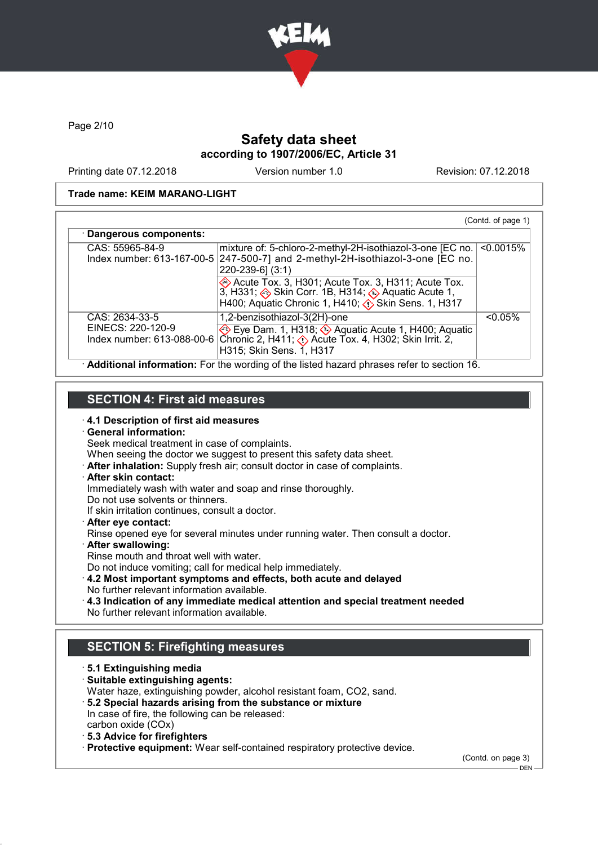

Page 2/10

# Safety data sheet according to 1907/2006/EC, Article 31

Printing date 07.12.2018 Version number 1.0 Revision: 07.12.2018

#### Trade name: KEIM MARANO-LIGHT

| CAS: 55965-84-9                     | mixture of: 5-chloro-2-methyl-2H-isothiazol-3-one [EC no.  <br>Index number: 613-167-00-5 $247-500-7$ and 2-methyl-2H-isothiazol-3-one [EC no.                                                         | $< 0.0015\%$ |
|-------------------------------------|--------------------------------------------------------------------------------------------------------------------------------------------------------------------------------------------------------|--------------|
|                                     | $220 - 239 - 6$ ] (3:1)                                                                                                                                                                                |              |
|                                     | Acute Tox. 3, H301; Acute Tox. 3, H311; Acute Tox.<br>3, H331; Skin Corr. 1B, H314; Aquatic Acute 1,<br>H400; Aquatic Chronic 1, H410; $\langle \cdot \rangle$ Skin Sens. 1, H317                      |              |
| CAS: 2634-33-5<br>EINECS: 220-120-9 | 1,2-benzisothiazol-3(2H)-one                                                                                                                                                                           | $< 0.05\%$   |
|                                     | Eye Dam. 1, H318; $\circledast$ Aquatic Acute 1, H400; Aquatic<br>Index number: 613-088-00-6   Chronic 2, H411; $\langle \cdot \rangle$ Acute Tox. 4, H302; Skin Irrit. 2,<br>H315; Skin Sens. 1, H317 |              |

## SECTION 4: First aid measures

- 
- · 4.1 Description of first aid measures · General information:
- Seek medical treatment in case of complaints.
- When seeing the doctor we suggest to present this safety data sheet.
- · After inhalation: Supply fresh air; consult doctor in case of complaints.
- · After skin contact:
- Immediately wash with water and soap and rinse thoroughly.
- Do not use solvents or thinners.
- If skin irritation continues, consult a doctor.
- · After eye contact:
- Rinse opened eye for several minutes under running water. Then consult a doctor.
- · After swallowing:
- Rinse mouth and throat well with water.
- Do not induce vomiting; call for medical help immediately.
- · 4.2 Most important symptoms and effects, both acute and delayed No further relevant information available.
- · 4.3 Indication of any immediate medical attention and special treatment needed No further relevant information available.

# SECTION 5: Firefighting measures

· 5.1 Extinguishing media · Suitable extinguishing agents: Water haze, extinguishing powder, alcohol resistant foam, CO2, sand. · 5.2 Special hazards arising from the substance or mixture In case of fire, the following can be released: carbon oxide (COx) · 5.3 Advice for firefighters · Protective equipment: Wear self-contained respiratory protective device.

(Contd. on page 3)  $-$  DEN -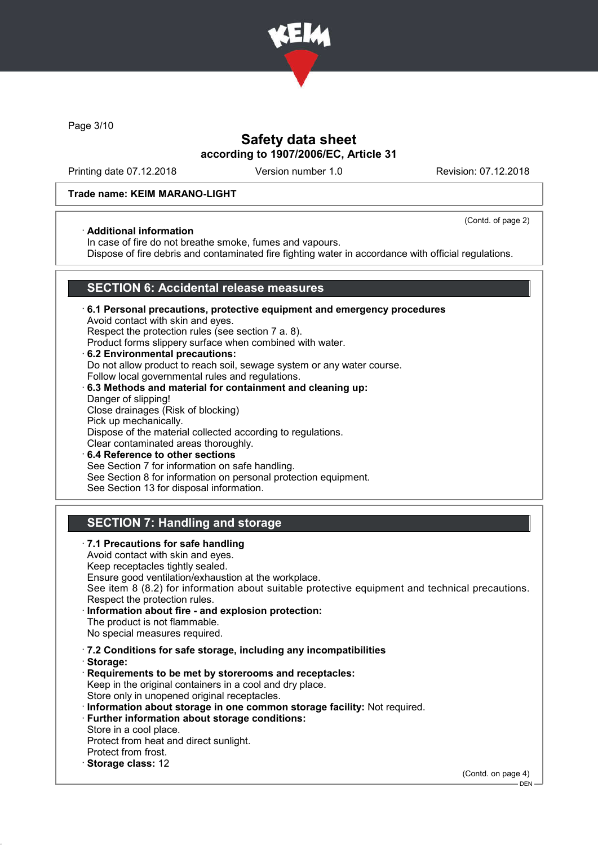

Page 3/10

## Safety data sheet according to 1907/2006/EC, Article 31

Printing date 07.12.2018 Version number 1.0 Revision: 07.12.2018

(Contd. of page 2)

#### Trade name: KEIM MARANO-LIGHT

#### · Additional information

In case of fire do not breathe smoke, fumes and vapours.

Dispose of fire debris and contaminated fire fighting water in accordance with official regulations.

## SECTION 6: Accidental release measures

- · 6.1 Personal precautions, protective equipment and emergency procedures Avoid contact with skin and eyes. Respect the protection rules (see section 7 a. 8). Product forms slippery surface when combined with water. · 6.2 Environmental precautions: Do not allow product to reach soil, sewage system or any water course.
- Follow local governmental rules and regulations. · 6.3 Methods and material for containment and cleaning up:
- Danger of slipping! Close drainages (Risk of blocking) Pick up mechanically. Dispose of the material collected according to regulations. Clear contaminated areas thoroughly. 6.4 Reference to other sections
- See Section 7 for information on safe handling. See Section 8 for information on personal protection equipment. See Section 13 for disposal information.

# SECTION 7: Handling and storage

· 7.1 Precautions for safe handling Avoid contact with skin and eyes. Keep receptacles tightly sealed. Ensure good ventilation/exhaustion at the workplace. See item 8 (8.2) for information about suitable protective equipment and technical precautions. Respect the protection rules. Information about fire - and explosion protection: The product is not flammable. No special measures required. · 7.2 Conditions for safe storage, including any incompatibilities · Storage: · Requirements to be met by storerooms and receptacles: Keep in the original containers in a cool and dry place. Store only in unopened original receptacles. · Information about storage in one common storage facility: Not required. · Further information about storage conditions: Store in a cool place. Protect from heat and direct sunlight. Protect from frost. · Storage class: 12 (Contd. on page 4)

 $-$  DEN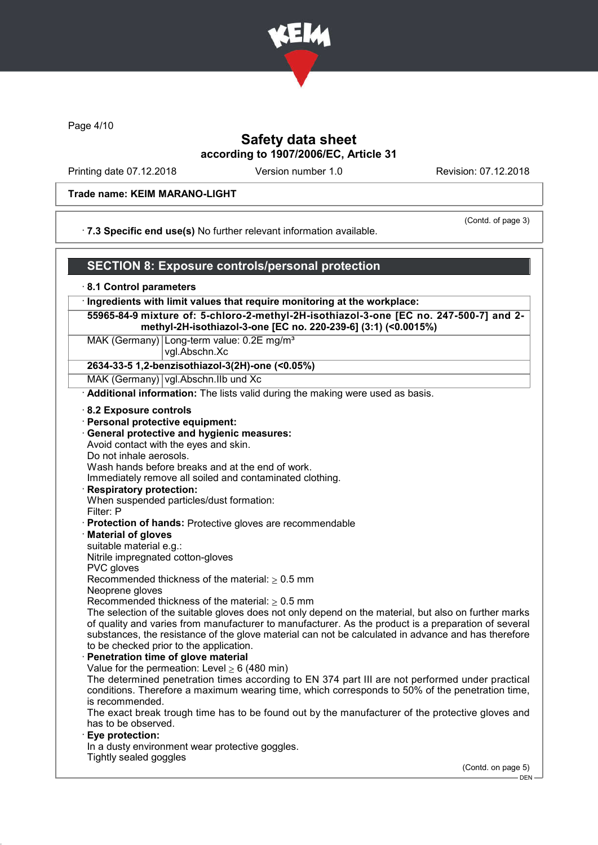

Page 4/10

## Safety data sheet according to 1907/2006/EC, Article 31

Printing date 07.12.2018 Version number 1.0 Revision: 07.12.2018

#### Trade name: KEIM MARANO-LIGHT

· 7.3 Specific end use(s) No further relevant information available.

(Contd. of page 3)

#### SECTION 8: Exposure controls/personal protection · 8.1 Control parameters · Ingredients with limit values that require monitoring at the workplace: 55965-84-9 mixture of: 5-chloro-2-methyl-2H-isothiazol-3-one [EC no. 247-500-7] and 2 methyl-2H-isothiazol-3-one [EC no. 220-239-6] (3:1) (<0.0015%) MAK (Germany) Long-term value: 0.2E mg/m<sup>3</sup> vgl.Abschn.Xc 2634-33-5 1,2-benzisothiazol-3(2H)-one (<0.05%) MAK (Germany) vgl.Abschn.IIb und Xc Additional information: The lists valid during the making were used as basis. · 8.2 Exposure controls · Personal protective equipment: · General protective and hygienic measures: Avoid contact with the eyes and skin. Do not inhale aerosols. Wash hands before breaks and at the end of work. Immediately remove all soiled and contaminated clothing. · Respiratory protection: When suspended particles/dust formation: Filter: P · Protection of hands: Protective gloves are recommendable · Material of gloves suitable material e.g.: Nitrile impregnated cotton-gloves PVC gloves Recommended thickness of the material:  $> 0.5$  mm Neoprene gloves Recommended thickness of the material:  $\geq 0.5$  mm The selection of the suitable gloves does not only depend on the material, but also on further marks of quality and varies from manufacturer to manufacturer. As the product is a preparation of several substances, the resistance of the glove material can not be calculated in advance and has therefore to be checked prior to the application. Penetration time of glove material Value for the permeation: Level  $> 6$  (480 min) The determined penetration times according to EN 374 part III are not performed under practical conditions. Therefore a maximum wearing time, which corresponds to 50% of the penetration time, is recommended. The exact break trough time has to be found out by the manufacturer of the protective gloves and has to be observed. Eye protection: In a dusty environment wear protective goggles. Tightly sealed goggles (Contd. on page 5)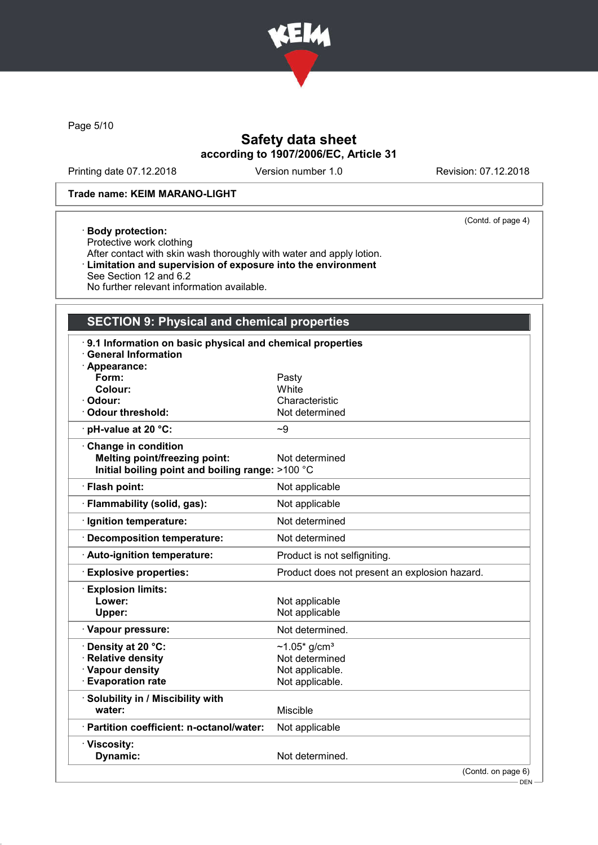

Page 5/10

# Safety data sheet according to 1907/2006/EC, Article 31

Printing date 07.12.2018 Version number 1.0 Revision: 07.12.2018

(Contd. of page 4)

### Trade name: KEIM MARANO-LIGHT

#### · Body protection:

Protective work clothing After contact with skin wash thoroughly with water and apply lotion. · Limitation and supervision of exposure into the environment See Section 12 and 6.2 No further relevant information available.

# SECTION 9: Physical and chemical properties

| 9.1 Information on basic physical and chemical properties<br><b>General Information</b><br>Appearance: |                                               |
|--------------------------------------------------------------------------------------------------------|-----------------------------------------------|
| Form:                                                                                                  | Pasty                                         |
| Colour:                                                                                                | White                                         |
| Odour:                                                                                                 | Characteristic                                |
| <b>Odour threshold:</b>                                                                                | Not determined                                |
| · pH-value at 20 °C:                                                                                   | ~1                                            |
| <b>Change in condition</b>                                                                             |                                               |
| <b>Melting point/freezing point:</b>                                                                   | Not determined                                |
| Initial boiling point and boiling range: >100 °C                                                       |                                               |
| · Flash point:                                                                                         | Not applicable                                |
| · Flammability (solid, gas):                                                                           | Not applicable                                |
| · Ignition temperature:                                                                                | Not determined                                |
| Decomposition temperature:                                                                             | Not determined                                |
| Auto-ignition temperature:                                                                             | Product is not selfigniting.                  |
| <b>Explosive properties:</b>                                                                           | Product does not present an explosion hazard. |
| <b>Explosion limits:</b>                                                                               |                                               |
| Lower:                                                                                                 | Not applicable                                |
| Upper:                                                                                                 | Not applicable                                |
| · Vapour pressure:                                                                                     | Not determined.                               |
| · Density at 20 °C:                                                                                    | ~1.05* g/cm <sup>3</sup>                      |
| · Relative density                                                                                     | Not determined                                |
| · Vapour density                                                                                       | Not applicable.                               |
| <b>Evaporation rate</b>                                                                                | Not applicable.                               |
| · Solubility in / Miscibility with                                                                     |                                               |
| water:                                                                                                 | Miscible                                      |
| · Partition coefficient: n-octanol/water:                                                              | Not applicable                                |
| · Viscosity:                                                                                           |                                               |
| Dynamic:                                                                                               | Not determined.                               |
|                                                                                                        | $(Contd)$ on page 6)                          |

(Contd. on page

 $-$  DEN -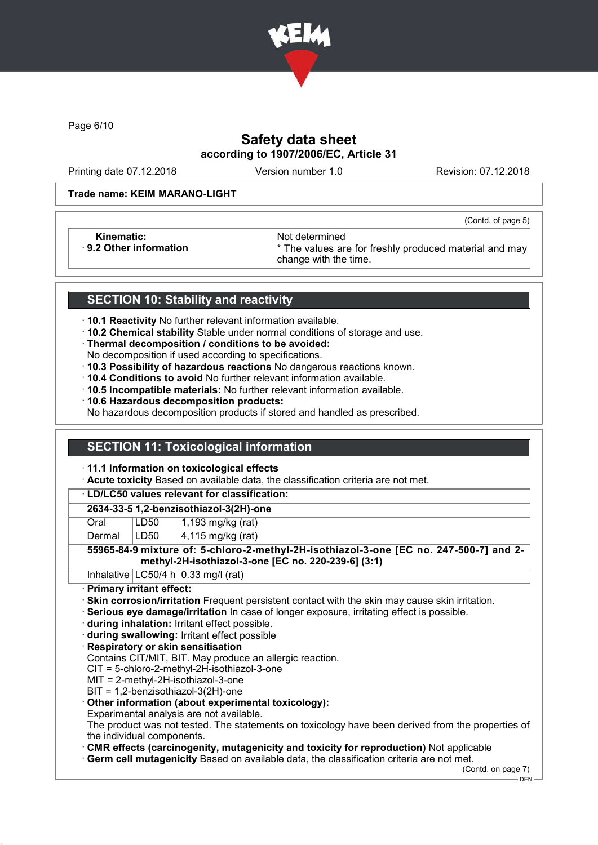

Page 6/10

# Safety data sheet according to 1907/2006/EC, Article 31

Printing date 07.12.2018 Version number 1.0 Revision: 07.12.2018

(Contd. of page 5)

#### Trade name: KEIM MARANO-LIGHT

Kinematic: Not determined<br>B.2 Other information **Accord 1998** The values and the values are set of the values and the values are set of the values are set of the values are set of the values are set of the values are set o

\* The values are for freshly produced material and may change with the time.

# SECTION 10: Stability and reactivity

- · 10.1 Reactivity No further relevant information available.
- · 10.2 Chemical stability Stable under normal conditions of storage and use.
- · Thermal decomposition / conditions to be avoided:
- No decomposition if used according to specifications.
- · 10.3 Possibility of hazardous reactions No dangerous reactions known.
- · 10.4 Conditions to avoid No further relevant information available.
- · 10.5 Incompatible materials: No further relevant information available.
- · 10.6 Hazardous decomposition products:

No hazardous decomposition products if stored and handled as prescribed.

# SECTION 11: Toxicological information

#### · 11.1 Information on toxicological effects

· Acute toxicity Based on available data, the classification criteria are not met.

#### · LD/LC50 values relevant for classification:

### 2634-33-5 1,2-benzisothiazol-3(2H)-one

Oral **LD50** 1,193 mg/kg (rat)

Dermal  $|LD50|$   $|4,115$  mg/kg (rat)

#### 55965-84-9 mixture of: 5-chloro-2-methyl-2H-isothiazol-3-one [EC no. 247-500-7] and 2 methyl-2H-isothiazol-3-one [EC no. 220-239-6] (3:1)

Inhalative  $LC50/4 h 0.33$  mg/l (rat)

#### · Primary irritant effect:

- · Skin corrosion/irritation Frequent persistent contact with the skin may cause skin irritation.
- · Serious eye damage/irritation In case of longer exposure, irritating effect is possible.
- · during inhalation: Irritant effect possible.
- · during swallowing: Irritant effect possible

## · Respiratory or skin sensitisation

Contains CIT/MIT, BIT. May produce an allergic reaction.

CIT = 5-chloro-2-methyl-2H-isothiazol-3-one

- MIT = 2-methyl-2H-isothiazol-3-one
- BIT = 1,2-benzisothiazol-3(2H)-one

## · Other information (about experimental toxicology):

Experimental analysis are not available.

The product was not tested. The statements on toxicology have been derived from the properties of the individual components.

· CMR effects (carcinogenity, mutagenicity and toxicity for reproduction) Not applicable

· Germ cell mutagenicity Based on available data, the classification criteria are not met.

(Contd. on page 7)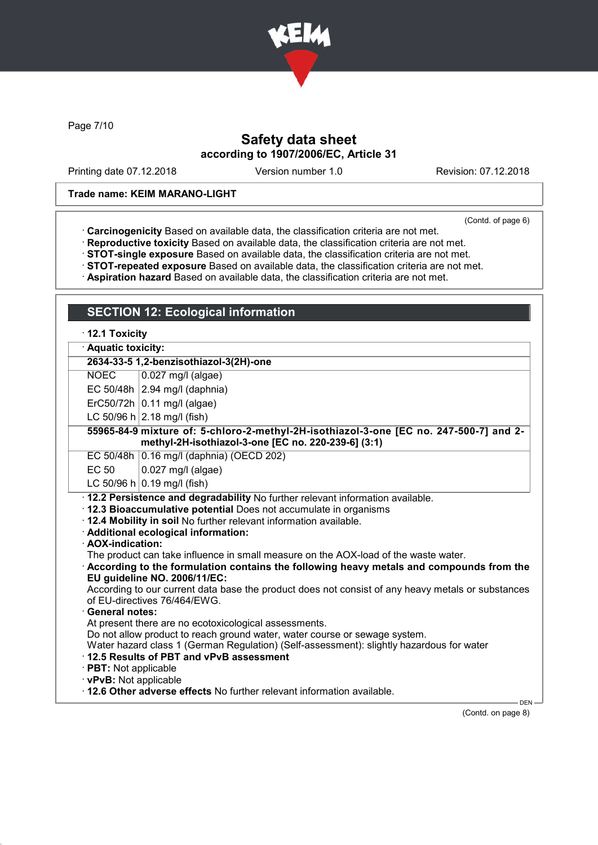

Page 7/10

# Safety data sheet according to 1907/2006/EC, Article 31

Printing date 07.12.2018 Version number 1.0 Revision: 07.12.2018

#### Trade name: KEIM MARANO-LIGHT

SECTION 12: Ecological information

(Contd. of page 6)

- · Carcinogenicity Based on available data, the classification criteria are not met.
- · Reproductive toxicity Based on available data, the classification criteria are not met.
- · STOT-single exposure Based on available data, the classification criteria are not met.
- · STOT-repeated exposure Based on available data, the classification criteria are not met.
- · Aspiration hazard Based on available data, the classification criteria are not met.

|                                                                                                                                               | <u>.</u> .                                                                                                                                                                                                                                                                                                                                                                                                                                                                                                                                                                                                                                                                                                                                                                                                                                                                                                                                                                                 |  |
|-----------------------------------------------------------------------------------------------------------------------------------------------|--------------------------------------------------------------------------------------------------------------------------------------------------------------------------------------------------------------------------------------------------------------------------------------------------------------------------------------------------------------------------------------------------------------------------------------------------------------------------------------------------------------------------------------------------------------------------------------------------------------------------------------------------------------------------------------------------------------------------------------------------------------------------------------------------------------------------------------------------------------------------------------------------------------------------------------------------------------------------------------------|--|
| $\cdot$ 12.1 Toxicity                                                                                                                         |                                                                                                                                                                                                                                                                                                                                                                                                                                                                                                                                                                                                                                                                                                                                                                                                                                                                                                                                                                                            |  |
| <b>Aquatic toxicity:</b><br>2634-33-5 1,2-benzisothiazol-3(2H)-one                                                                            |                                                                                                                                                                                                                                                                                                                                                                                                                                                                                                                                                                                                                                                                                                                                                                                                                                                                                                                                                                                            |  |
|                                                                                                                                               |                                                                                                                                                                                                                                                                                                                                                                                                                                                                                                                                                                                                                                                                                                                                                                                                                                                                                                                                                                                            |  |
|                                                                                                                                               | EC 50/48h $\vert$ 2.94 mg/l (daphnia)                                                                                                                                                                                                                                                                                                                                                                                                                                                                                                                                                                                                                                                                                                                                                                                                                                                                                                                                                      |  |
|                                                                                                                                               | $ErC50/72h$ 0.11 mg/l (algae)                                                                                                                                                                                                                                                                                                                                                                                                                                                                                                                                                                                                                                                                                                                                                                                                                                                                                                                                                              |  |
|                                                                                                                                               | LC 50/96 h $ 2.18 \text{ mg/II}$ (fish)                                                                                                                                                                                                                                                                                                                                                                                                                                                                                                                                                                                                                                                                                                                                                                                                                                                                                                                                                    |  |
| 55965-84-9 mixture of: 5-chloro-2-methyl-2H-isothiazol-3-one [EC no. 247-500-7] and 2-<br>methyl-2H-isothiazol-3-one [EC no. 220-239-6] (3:1) |                                                                                                                                                                                                                                                                                                                                                                                                                                                                                                                                                                                                                                                                                                                                                                                                                                                                                                                                                                                            |  |
|                                                                                                                                               | EC 50/48h 0.16 mg/l (daphnia) (OECD 202)                                                                                                                                                                                                                                                                                                                                                                                                                                                                                                                                                                                                                                                                                                                                                                                                                                                                                                                                                   |  |
| <b>EC 50</b>                                                                                                                                  | 0.027 mg/l (algae)                                                                                                                                                                                                                                                                                                                                                                                                                                                                                                                                                                                                                                                                                                                                                                                                                                                                                                                                                                         |  |
|                                                                                                                                               | LC 50/96 h $ 0.19$ mg/l (fish)                                                                                                                                                                                                                                                                                                                                                                                                                                                                                                                                                                                                                                                                                                                                                                                                                                                                                                                                                             |  |
| · AOX-indication:<br><b>General notes:</b><br>· PBT: Not applicable<br>· vPvB: Not applicable                                                 | · 12.2 Persistence and degradability No further relevant information available.<br>· 12.3 Bioaccumulative potential Does not accumulate in organisms<br>. 12.4 Mobility in soil No further relevant information available.<br>· Additional ecological information:<br>The product can take influence in small measure on the AOX-load of the waste water.<br>$\cdot$ According to the formulation contains the following heavy metals and compounds from the<br>EU guideline NO. 2006/11/EC:<br>According to our current data base the product does not consist of any heavy metals or substances<br>of EU-directives 76/464/EWG.<br>At present there are no ecotoxicological assessments.<br>Do not allow product to reach ground water, water course or sewage system.<br>Water hazard class 1 (German Regulation) (Self-assessment): slightly hazardous for water<br>12.5 Results of PBT and vPvB assessment<br>. 12.6 Other adverse effects No further relevant information available. |  |
|                                                                                                                                               | DEN-                                                                                                                                                                                                                                                                                                                                                                                                                                                                                                                                                                                                                                                                                                                                                                                                                                                                                                                                                                                       |  |

(Contd. on page 8)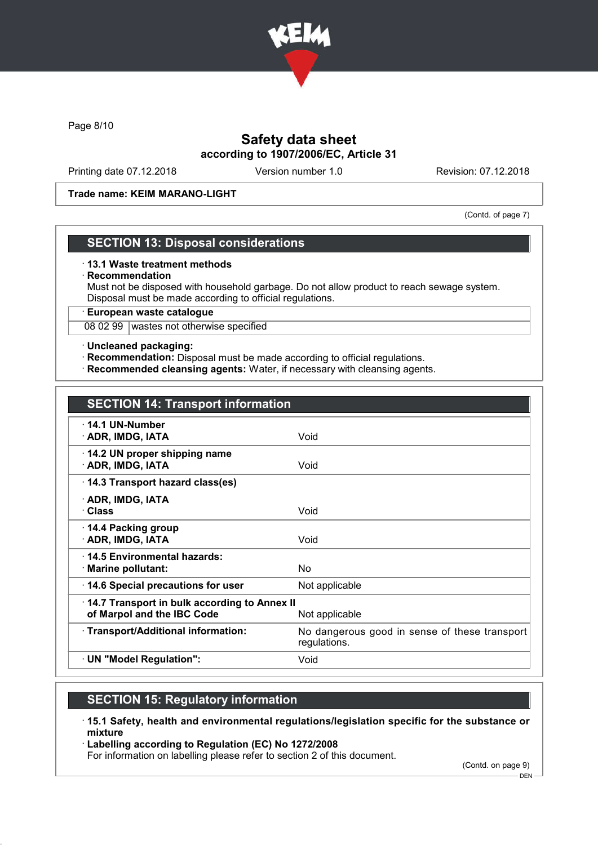

Page 8/10

# Safety data sheet according to 1907/2006/EC, Article 31

Printing date 07.12.2018 Version number 1.0 Revision: 07.12.2018

#### Trade name: KEIM MARANO-LIGHT

(Contd. of page 7)

## SECTION 13: Disposal considerations

#### · 13.1 Waste treatment methods

#### · Recommendation

Must not be disposed with household garbage. Do not allow product to reach sewage system. Disposal must be made according to official regulations.

· European waste catalogue

08 02 99 wastes not otherwise specified

#### · Uncleaned packaging:

- · Recommendation: Disposal must be made according to official regulations.
- · Recommended cleansing agents: Water, if necessary with cleansing agents.

| <b>SECTION 14: Transport information</b>                                                     |                                                               |  |
|----------------------------------------------------------------------------------------------|---------------------------------------------------------------|--|
| $\cdot$ 14.1 UN-Number<br>· ADR, IMDG, IATA                                                  | Void                                                          |  |
| 14.2 UN proper shipping name<br>· ADR, IMDG, IATA                                            | Void                                                          |  |
| 14.3 Transport hazard class(es)                                                              |                                                               |  |
| · ADR, IMDG, IATA<br>· Class                                                                 | Void                                                          |  |
| ⋅ 14.4 Packing group<br>· ADR, IMDG, IATA                                                    | Void                                                          |  |
| 14.5 Environmental hazards:<br>$\cdot$ Marine pollutant:                                     | No                                                            |  |
| 14.6 Special precautions for user                                                            | Not applicable                                                |  |
| 14.7 Transport in bulk according to Annex II<br>of Marpol and the IBC Code<br>Not applicable |                                                               |  |
| · Transport/Additional information:                                                          | No dangerous good in sense of these transport<br>regulations. |  |
| $\cdot$ UN "Model Regulation":                                                               | Void                                                          |  |

# SECTION 15: Regulatory information

- · 15.1 Safety, health and environmental regulations/legislation specific for the substance or mixture
- · Labelling according to Regulation (EC) No 1272/2008

For information on labelling please refer to section 2 of this document.

(Contd. on page 9)

 $-$  DEN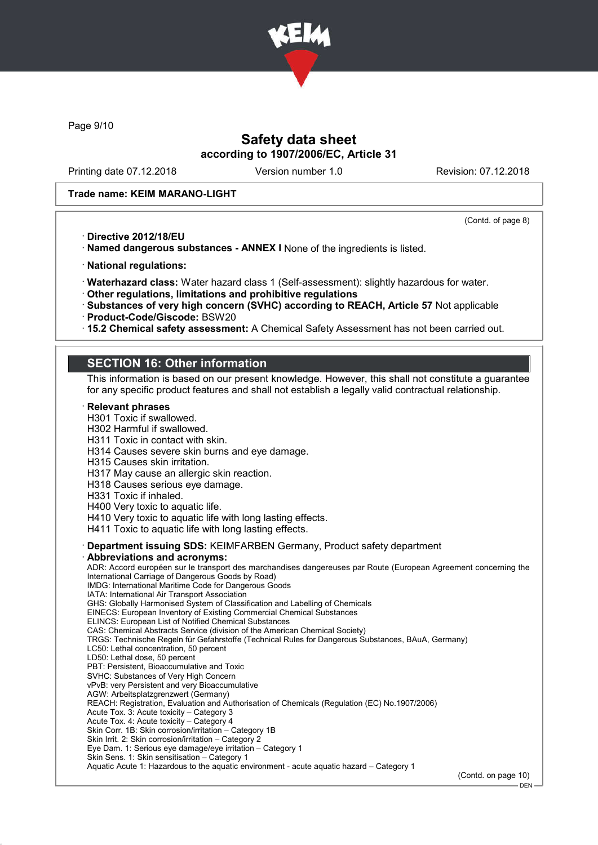

Page 9/10

## Safety data sheet according to 1907/2006/EC, Article 31

Printing date 07.12.2018 Version number 1.0 Revision: 07.12.2018

#### Trade name: KEIM MARANO-LIGHT

(Contd. of page 8)

- · Directive 2012/18/EU
- · Named dangerous substances ANNEX I None of the ingredients is listed.
- · National regulations:
- · Waterhazard class: Water hazard class 1 (Self-assessment): slightly hazardous for water.
- · Other regulations, limitations and prohibitive regulations
- · Substances of very high concern (SVHC) according to REACH, Article 57 Not applicable
- · Product-Code/Giscode: BSW20
- · 15.2 Chemical safety assessment: A Chemical Safety Assessment has not been carried out.

## SECTION 16: Other information

This information is based on our present knowledge. However, this shall not constitute a guarantee for any specific product features and shall not establish a legally valid contractual relationship.

**Relevant phrases** H301 Toxic if swallowed. H302 Harmful if swallowed. H311 Toxic in contact with skin. H314 Causes severe skin burns and eye damage. H315 Causes skin irritation. H317 May cause an allergic skin reaction. H318 Causes serious eye damage. H331 Toxic if inhaled. H400 Very toxic to aquatic life. H410 Very toxic to aquatic life with long lasting effects. H411 Toxic to aquatic life with long lasting effects. · Department issuing SDS: KEIMFARBEN Germany, Product safety department · Abbreviations and acronyms: ADR: Accord européen sur le transport des marchandises dangereuses par Route (European Agreement concerning the International Carriage of Dangerous Goods by Road) IMDG: International Maritime Code for Dangerous Goods IATA: International Air Transport Association GHS: Globally Harmonised System of Classification and Labelling of Chemicals EINECS: European Inventory of Existing Commercial Chemical Substances ELINCS: European List of Notified Chemical Substances CAS: Chemical Abstracts Service (division of the American Chemical Society) TRGS: Technische Regeln für Gefahrstoffe (Technical Rules for Dangerous Substances, BAuA, Germany) LC50: Lethal concentration, 50 percent LD50: Lethal dose, 50 percent PBT: Persistent, Bioaccumulative and Toxic SVHC: Substances of Very High Concern vPvB: very Persistent and very Bioaccumulative AGW: Arbeitsplatzgrenzwert (Germany) REACH: Registration, Evaluation and Authorisation of Chemicals (Regulation (EC) No.1907/2006) Acute Tox. 3: Acute toxicity – Category 3 Acute Tox. 4: Acute toxicity – Category 4 Skin Corr. 1B: Skin corrosion/irritation – Category 1B Skin Irrit. 2: Skin corrosion/irritation – Category 2 Eye Dam. 1: Serious eye damage/eye irritation – Category 1 Skin Sens. 1: Skin sensitisation – Category 1 Aquatic Acute 1: Hazardous to the aquatic environment - acute aquatic hazard – Category 1 (Contd. on page 10) - DEN